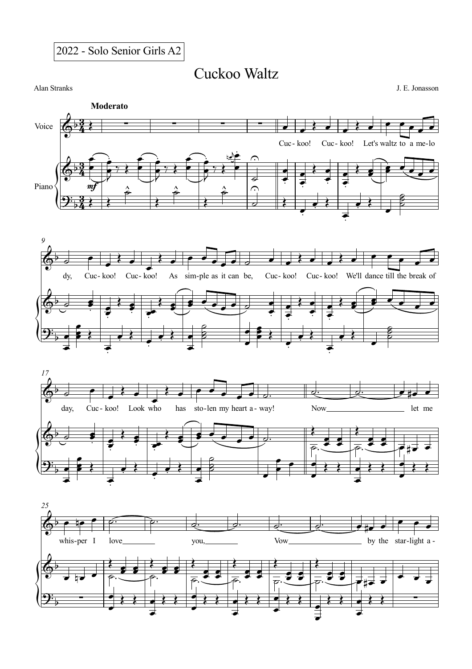2022 - Solo Senior Girls A2

Cuckoo Waltz

Alan Stranks J. E. Jonasson







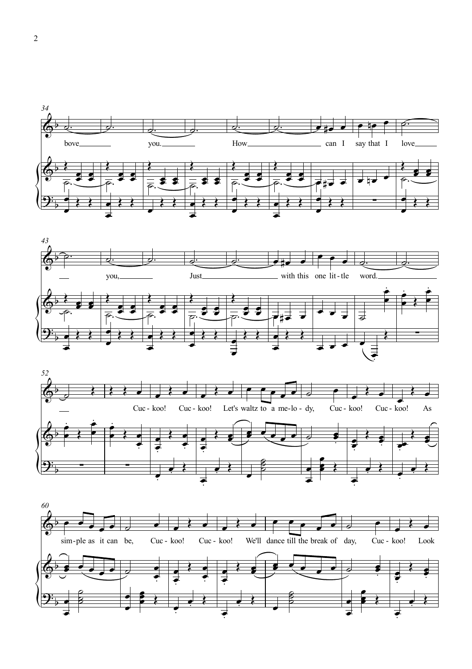